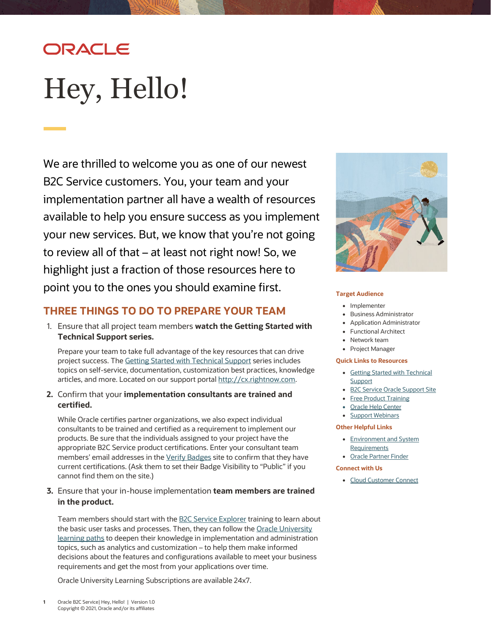## ORACLE

# <span id="page-0-0"></span>Hey, Hello!

We are thrilled to welcome you as one of our newest B2C Service customers. You, your team and your implementation partner all have a wealth of resources available to help you ensure success as you implement your new services. But, we know that you're not going to review all of that – at least not right now! So, we highlight just a fraction of those resources here to point you to the ones you should examine first.

## **THREE THINGS TO DO TO PREPARE YOUR TEAM**

1. Ensure that all project team members **watch the Getting Started with Technical Support series.**

Prepare your team to take full advantage of the key resources that can drive project success. The [Getting Started with Technical Support](https://cx.rightnow.com/app/landing/get_started_support) series includes topics on self-service, documentation, customization best practices, knowledge articles, and more. Located on our support porta[l http://cx.rightnow.com.](http://cx.rightnow.com/)

**2.** Confirm that your **implementation consultants are trained and certified.**

While Oracle certifies partner organizations, we also expect individual consultants to be trained and certified as a requirement to implement our products. Be sure that the individuals assigned to your project have the appropriate B2C Service product certifications. Enter your consultant team members' email addresses in th[e Verify Badges](https://www.youracclaim.com/org/oracle/verify) site to confirm that they have current certifications. (Ask them to set their Badge Visibility to "Public" if you cannot find them on the site.)

**3.** Ensure that your in-house implementation **team members are trained in the product.**

Team members should start with th[e B2C Service Explorer](https://learn.oracle.com/ols/learning-path/b2c-service-explorer/45640/80189) training to learn about the basic user tasks and processes. Then, they can follow the Oracle University [learning paths](https://learn.oracle.com/ols/home/45640) to deepen their knowledge in implementation and administration topics, such as analytics and customization – to help them make informed decisions about the features and configurations available to meet your business requirements and get the most from your applications over time.

Oracle University Learning Subscriptions are available 24x7.



#### **Target Audience**

- Implementer
- Business Administrator
- Application Administrator
- Functional Architect
- Network team
- Project Manager

#### **Quick Links to Resources**

- [Getting Started with Technical](https://cx.rightnow.com/app/landing/get_started_support)  [Support](https://cx.rightnow.com/app/landing/get_started_support)
- [B2C Service Oracle Support Site](https://cx.rightnow.com/)
- [Free Product Training](https://cx.rightnow.com/app/home)
- [Oracle Help Center](https://docs.oracle.com/pls/topic/lookup?ctx=en/cloud/saas&id=servicecslatest)
- [Support Webinars](https://cx.rightnow.com/app/webinars)

#### **Other Helpful Links**

- [Environment and System](https://cx.rightnow.com/app/answers/detail/a_id/8030)  [Requirements](https://cx.rightnow.com/app/answers/detail/a_id/8030)
- [Oracle Partner Finder](https://partner-finder.oracle.com/)

#### **Connect with Us**

• [Cloud Customer Connect](https://community.oracle.com/customerconnect/)